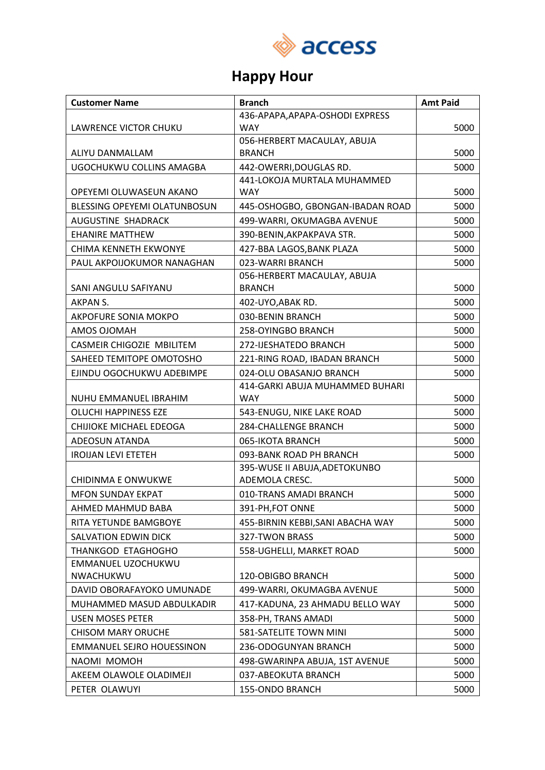

## **Happy Hour**

| <b>Customer Name</b>             | <b>Branch</b>                     | <b>Amt Paid</b> |
|----------------------------------|-----------------------------------|-----------------|
|                                  | 436-APAPA, APAPA-OSHODI EXPRESS   |                 |
| LAWRENCE VICTOR CHUKU            | <b>WAY</b>                        | 5000            |
|                                  | 056-HERBERT MACAULAY, ABUJA       |                 |
| ALIYU DANMALLAM                  | <b>BRANCH</b>                     | 5000            |
| UGOCHUKWU COLLINS AMAGBA         | 442-OWERRI, DOUGLAS RD.           | 5000            |
|                                  | 441-LOKOJA MURTALA MUHAMMED       |                 |
| OPEYEMI OLUWASEUN AKANO          | <b>WAY</b>                        | 5000            |
| BLESSING OPEYEMI OLATUNBOSUN     | 445-OSHOGBO, GBONGAN-IBADAN ROAD  | 5000            |
| AUGUSTINE SHADRACK               | 499-WARRI, OKUMAGBA AVENUE        | 5000            |
| <b>EHANIRE MATTHEW</b>           | 390-BENIN, AKPAKPAVA STR.         | 5000            |
| <b>CHIMA KENNETH EKWONYE</b>     | 427-BBA LAGOS, BANK PLAZA         | 5000            |
| PAUL AKPOIJOKUMOR NANAGHAN       | 023-WARRI BRANCH                  | 5000            |
|                                  | 056-HERBERT MACAULAY, ABUJA       |                 |
| SANI ANGULU SAFIYANU             | <b>BRANCH</b>                     | 5000            |
| AKPAN S.                         | 402-UYO, ABAK RD.                 | 5000            |
| AKPOFURE SONIA MOKPO             | 030-BENIN BRANCH                  | 5000            |
| AMOS OJOMAH                      | <b>258-OYINGBO BRANCH</b>         | 5000            |
| CASMEIR CHIGOZIE MBILITEM        | 272-IJESHATEDO BRANCH             | 5000            |
| SAHEED TEMITOPE OMOTOSHO         | 221-RING ROAD, IBADAN BRANCH      | 5000            |
| EJINDU OGOCHUKWU ADEBIMPE        | 024-OLU OBASANJO BRANCH           | 5000            |
|                                  | 414-GARKI ABUJA MUHAMMED BUHARI   |                 |
| NUHU EMMANUEL IBRAHIM            | <b>WAY</b>                        | 5000            |
| OLUCHI HAPPINESS EZE             | 543-ENUGU, NIKE LAKE ROAD         | 5000            |
| CHIJIOKE MICHAEL EDEOGA          | 284-CHALLENGE BRANCH              | 5000            |
| ADEOSUN ATANDA                   | 065-IKOTA BRANCH                  | 5000            |
| <b>IROIJAN LEVI ETETEH</b>       | 093-BANK ROAD PH BRANCH           | 5000            |
|                                  | 395-WUSE II ABUJA, ADETOKUNBO     |                 |
| <b>CHIDINMA E ONWUKWE</b>        | ADEMOLA CRESC.                    | 5000            |
| <b>MFON SUNDAY EKPAT</b>         | 010-TRANS AMADI BRANCH            | 5000            |
| AHMED MAHMUD BABA                | 391-PH, FOT ONNE                  | 5000            |
| RITA YETUNDE BAMGBOYE            | 455-BIRNIN KEBBI, SANI ABACHA WAY | 5000            |
| SALVATION EDWIN DICK             | 327-TWON BRASS                    | 5000            |
| THANKGOD ETAGHOGHO               | 558-UGHELLI, MARKET ROAD          | 5000            |
| EMMANUEL UZOCHUKWU               |                                   |                 |
| NWACHUKWU                        | 120-OBIGBO BRANCH                 | 5000            |
| DAVID OBORAFAYOKO UMUNADE        | 499-WARRI, OKUMAGBA AVENUE        | 5000            |
| MUHAMMED MASUD ABDULKADIR        | 417-KADUNA, 23 AHMADU BELLO WAY   | 5000            |
| <b>USEN MOSES PETER</b>          | 358-PH, TRANS AMADI               | 5000            |
| <b>CHISOM MARY ORUCHE</b>        | 581-SATELITE TOWN MINI            | 5000            |
| <b>EMMANUEL SEJRO HOUESSINON</b> | 236-ODOGUNYAN BRANCH              | 5000            |
| NAOMI MOMOH                      | 498-GWARINPA ABUJA, 1ST AVENUE    | 5000            |
| AKEEM OLAWOLE OLADIMEJI          | 037-ABEOKUTA BRANCH               | 5000            |
| PETER OLAWUYI                    | 155-ONDO BRANCH                   | 5000            |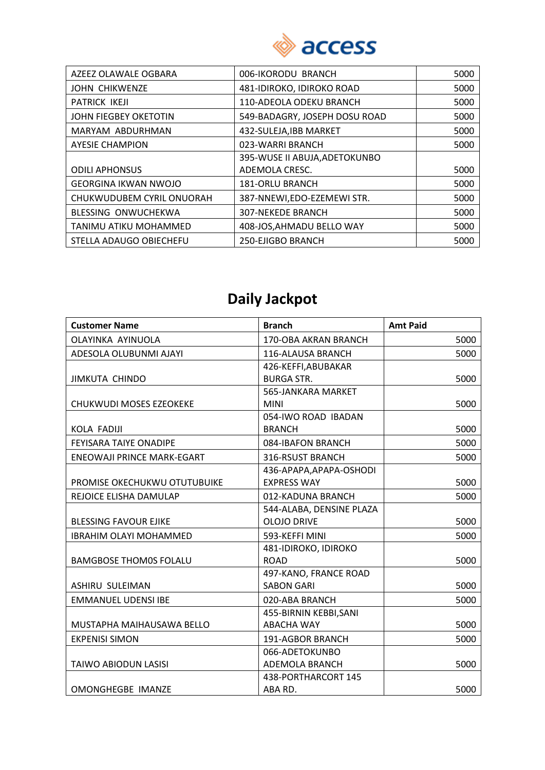

| AZEEZ OLAWALE OGBARA        | 006-IKORODU BRANCH            | 5000 |
|-----------------------------|-------------------------------|------|
| <b>JOHN CHIKWENZE</b>       | 481-IDIROKO, IDIROKO ROAD     | 5000 |
| <b>PATRICK IKEJI</b>        | 110-ADEOLA ODEKU BRANCH       | 5000 |
| JOHN FIEGBEY OKETOTIN       | 549-BADAGRY, JOSEPH DOSU ROAD | 5000 |
| MARYAM ABDURHMAN            | 432-SULEJA, IBB MARKET        | 5000 |
| <b>AYESIE CHAMPION</b>      | 023-WARRI BRANCH              | 5000 |
|                             | 395-WUSE II ABUJA, ADETOKUNBO |      |
| <b>ODILI APHONSUS</b>       | ADEMOLA CRESC.                | 5000 |
| <b>GEORGINA IKWAN NWOJO</b> | <b>181-ORLU BRANCH</b>        | 5000 |
| CHUKWUDUBEM CYRIL ONUORAH   | 387-NNEWI, EDO-EZEMEWI STR.   | 5000 |
| BLESSING ONWUCHEKWA         | <b>307-NEKEDE BRANCH</b>      | 5000 |
| TANIMU ATIKU MOHAMMED       | 408-JOS, AHMADU BELLO WAY     | 5000 |
| STELLA ADAUGO OBIECHEFU     | 250-EJIGBO BRANCH             | 5000 |

## **Daily Jackpot**

| <b>Customer Name</b>              | <b>Branch</b>            | <b>Amt Paid</b> |
|-----------------------------------|--------------------------|-----------------|
| OLAYINKA AYINUOLA                 | 170-OBA AKRAN BRANCH     | 5000            |
| ADESOLA OLUBUNMI AJAYI            | 116-ALAUSA BRANCH        | 5000            |
|                                   | 426-KEFFI, ABUBAKAR      |                 |
| <b>JIMKUTA CHINDO</b>             | <b>BURGA STR.</b>        | 5000            |
|                                   | 565-JANKARA MARKET       |                 |
| CHUKWUDI MOSES EZEOKEKE           | <b>MINI</b>              | 5000            |
|                                   | 054-IWO ROAD IBADAN      |                 |
| KOLA FADIJI                       | <b>BRANCH</b>            | 5000            |
| <b>FEYISARA TAIYE ONADIPE</b>     | 084-IBAFON BRANCH        | 5000            |
| <b>ENEOWAJI PRINCE MARK-EGART</b> | 316-RSUST BRANCH         | 5000            |
|                                   | 436-APAPA, APAPA-OSHODI  |                 |
| PROMISE OKECHUKWU OTUTUBUIKE      | <b>EXPRESS WAY</b>       | 5000            |
| REJOICE ELISHA DAMULAP            | 012-KADUNA BRANCH        | 5000            |
|                                   | 544-ALABA, DENSINE PLAZA |                 |
| <b>BLESSING FAVOUR EJIKE</b>      | <b>OLOJO DRIVE</b>       | 5000            |
| <b>IBRAHIM OLAYI MOHAMMED</b>     | 593-KEFFI MINI           | 5000            |
|                                   | 481-IDIROKO, IDIROKO     |                 |
| <b>BAMGBOSE THOM0S FOLALU</b>     | <b>ROAD</b>              | 5000            |
|                                   | 497-KANO, FRANCE ROAD    |                 |
| ASHIRU SULEIMAN                   | <b>SABON GARI</b>        | 5000            |
| <b>EMMANUEL UDENSI IBE</b>        | 020-ABA BRANCH           | 5000            |
|                                   | 455-BIRNIN KEBBI, SANI   |                 |
| MUSTAPHA MAIHAUSAWA BELLO         | <b>ABACHA WAY</b>        | 5000            |
| <b>EKPENISI SIMON</b>             | 191-AGBOR BRANCH         | 5000            |
|                                   | 066-ADETOKUNBO           |                 |
| <b>TAIWO ABIODUN LASISI</b>       | ADEMOLA BRANCH           | 5000            |
|                                   | 438-PORTHARCORT 145      |                 |
| OMONGHEGBE IMANZE                 | ABA RD.                  | 5000            |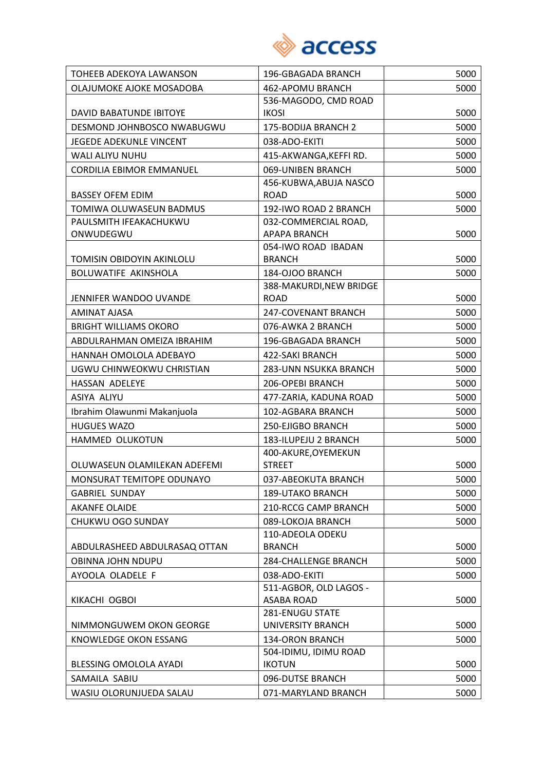

| TOHEEB ADEKOYA LAWANSON       | 196-GBAGADA BRANCH                   | 5000 |
|-------------------------------|--------------------------------------|------|
| OLAJUMOKE AJOKE MOSADOBA      | 462-APOMU BRANCH                     | 5000 |
|                               | 536-MAGODO, CMD ROAD                 |      |
| DAVID BABATUNDE IBITOYE       | <b>IKOSI</b>                         | 5000 |
| DESMOND JOHNBOSCO NWABUGWU    | 175-BODIJA BRANCH 2                  | 5000 |
| JEGEDE ADEKUNLE VINCENT       | 038-ADO-EKITI                        | 5000 |
| WALI ALIYU NUHU               | 415-AKWANGA, KEFFI RD.               | 5000 |
| CORDILIA EBIMOR EMMANUEL      | 069-UNIBEN BRANCH                    | 5000 |
|                               | 456-KUBWA, ABUJA NASCO               |      |
| <b>BASSEY OFEM EDIM</b>       | <b>ROAD</b>                          | 5000 |
| TOMIWA OLUWASEUN BADMUS       | 192-IWO ROAD 2 BRANCH                | 5000 |
| PAULSMITH IFEAKACHUKWU        | 032-COMMERCIAL ROAD,                 |      |
| ONWUDEGWU                     | <b>APAPA BRANCH</b>                  | 5000 |
| TOMISIN OBIDOYIN AKINLOLU     | 054-IWO ROAD IBADAN<br><b>BRANCH</b> | 5000 |
| BOLUWATIFE AKINSHOLA          | 184-OJOO BRANCH                      | 5000 |
|                               | 388-MAKURDI, NEW BRIDGE              |      |
| JENNIFER WANDOO UVANDE        | <b>ROAD</b>                          | 5000 |
| <b>AMINAT AJASA</b>           | 247-COVENANT BRANCH                  | 5000 |
| <b>BRIGHT WILLIAMS OKORO</b>  | 076-AWKA 2 BRANCH                    | 5000 |
| ABDULRAHMAN OMEIZA IBRAHIM    | 196-GBAGADA BRANCH                   | 5000 |
| HANNAH OMOLOLA ADEBAYO        | <b>422-SAKI BRANCH</b>               | 5000 |
| UGWU CHINWEOKWU CHRISTIAN     | 283-UNN NSUKKA BRANCH                | 5000 |
| HASSAN ADELEYE                | 206-OPEBI BRANCH                     | 5000 |
| ASIYA ALIYU                   | 477-ZARIA, KADUNA ROAD               | 5000 |
| Ibrahim Olawunmi Makanjuola   | 102-AGBARA BRANCH                    | 5000 |
| <b>HUGUES WAZO</b>            | 250-EJIGBO BRANCH                    | 5000 |
| HAMMED OLUKOTUN               | 183-ILUPEJU 2 BRANCH                 | 5000 |
|                               | 400-AKURE, OYEMEKUN                  |      |
| OLUWASEUN OLAMILEKAN ADEFEMI  | <b>STREET</b>                        | 5000 |
| MONSURAT TEMITOPE ODUNAYO     | 037-ABEOKUTA BRANCH                  | 5000 |
| <b>GABRIEL SUNDAY</b>         | <b>189-UTAKO BRANCH</b>              | 5000 |
| <b>AKANFE OLAIDE</b>          | 210-RCCG CAMP BRANCH                 | 5000 |
| CHUKWU OGO SUNDAY             | 089-LOKOJA BRANCH                    | 5000 |
|                               | 110-ADEOLA ODEKU                     |      |
| ABDULRASHEED ABDULRASAQ OTTAN | <b>BRANCH</b>                        | 5000 |
| OBINNA JOHN NDUPU             | 284-CHALLENGE BRANCH                 | 5000 |
| AYOOLA OLADELE F              | 038-ADO-EKITI                        | 5000 |
|                               | 511-AGBOR, OLD LAGOS -               |      |
| KIKACHI OGBOI                 | <b>ASABA ROAD</b>                    | 5000 |
|                               | 281-ENUGU STATE                      |      |
| NIMMONGUWEM OKON GEORGE       | UNIVERSITY BRANCH                    | 5000 |
| KNOWLEDGE OKON ESSANG         | <b>134-ORON BRANCH</b>               | 5000 |
|                               | 504-IDIMU, IDIMU ROAD                |      |
| BLESSING OMOLOLA AYADI        | <b>IKOTUN</b>                        | 5000 |
| SAMAILA SABIU                 | 096-DUTSE BRANCH                     | 5000 |
| WASIU OLORUNJUEDA SALAU       | 071-MARYLAND BRANCH                  | 5000 |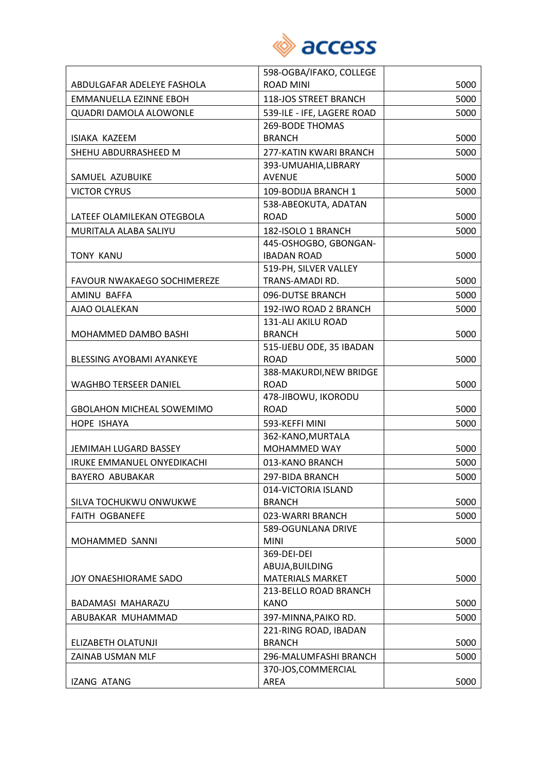

|                                  | 598-OGBA/IFAKO, COLLEGE    |      |
|----------------------------------|----------------------------|------|
| ABDULGAFAR ADELEYE FASHOLA       | <b>ROAD MINI</b>           | 5000 |
| <b>EMMANUELLA EZINNE EBOH</b>    | 118-JOS STREET BRANCH      | 5000 |
| <b>QUADRI DAMOLA ALOWONLE</b>    | 539-ILE - IFE, LAGERE ROAD | 5000 |
|                                  | <b>269-BODE THOMAS</b>     |      |
| ISIAKA KAZEEM                    | <b>BRANCH</b>              | 5000 |
| SHEHU ABDURRASHEED M             | 277-KATIN KWARI BRANCH     | 5000 |
|                                  | 393-UMUAHIA, LIBRARY       |      |
| SAMUEL AZUBUIKE                  | <b>AVENUE</b>              | 5000 |
| <b>VICTOR CYRUS</b>              | 109-BODIJA BRANCH 1        | 5000 |
|                                  | 538-ABEOKUTA, ADATAN       |      |
| LATEEF OLAMILEKAN OTEGBOLA       | <b>ROAD</b>                | 5000 |
| MURITALA ALABA SALIYU            | 182-ISOLO 1 BRANCH         | 5000 |
|                                  | 445-OSHOGBO, GBONGAN-      |      |
| <b>TONY KANU</b>                 | <b>IBADAN ROAD</b>         | 5000 |
|                                  | 519-PH, SILVER VALLEY      |      |
| FAVOUR NWAKAEGO SOCHIMEREZE      | TRANS-AMADI RD.            | 5000 |
| AMINU BAFFA                      | 096-DUTSE BRANCH           | 5000 |
| AJAO OLALEKAN                    | 192-IWO ROAD 2 BRANCH      | 5000 |
|                                  | 131-ALI AKILU ROAD         |      |
| MOHAMMED DAMBO BASHI             | <b>BRANCH</b>              | 5000 |
|                                  | 515-IJEBU ODE, 35 IBADAN   |      |
| <b>BLESSING AYOBAMI AYANKEYE</b> | <b>ROAD</b>                | 5000 |
|                                  | 388-MAKURDI, NEW BRIDGE    |      |
| <b>WAGHBO TERSEER DANIEL</b>     | <b>ROAD</b>                | 5000 |
|                                  | 478-JIBOWU, IKORODU        |      |
| <b>GBOLAHON MICHEAL SOWEMIMO</b> | <b>ROAD</b>                | 5000 |
| HOPE ISHAYA                      | 593-KEFFI MINI             | 5000 |
|                                  | 362-KANO, MURTALA          |      |
| JEMIMAH LUGARD BASSEY            | MOHAMMED WAY               | 5000 |
| IRUKE EMMANUEL ONYEDIKACHI       | 013-KANO BRANCH            | 5000 |
| <b>BAYERO ABUBAKAR</b>           | 297-BIDA BRANCH            | 5000 |
|                                  | 014-VICTORIA ISLAND        |      |
| SILVA TOCHUKWU ONWUKWE           | <b>BRANCH</b>              | 5000 |
| FAITH OGBANEFE                   | 023-WARRI BRANCH           | 5000 |
|                                  | 589-OGUNLANA DRIVE         |      |
| MOHAMMED SANNI                   | <b>MINI</b><br>369-DEI-DEI | 5000 |
|                                  | ABUJA, BUILDING            |      |
| JOY ONAESHIORAME SADO            | <b>MATERIALS MARKET</b>    | 5000 |
|                                  | 213-BELLO ROAD BRANCH      |      |
| BADAMASI MAHARAZU                | <b>KANO</b>                | 5000 |
| ABUBAKAR MUHAMMAD                | 397-MINNA, PAIKO RD.       | 5000 |
|                                  | 221-RING ROAD, IBADAN      |      |
| ELIZABETH OLATUNJI               | <b>BRANCH</b>              | 5000 |
| ZAINAB USMAN MLF                 | 296-MALUMFASHI BRANCH      | 5000 |
|                                  | 370-JOS, COMMERCIAL        |      |
| <b>IZANG ATANG</b>               | AREA                       | 5000 |